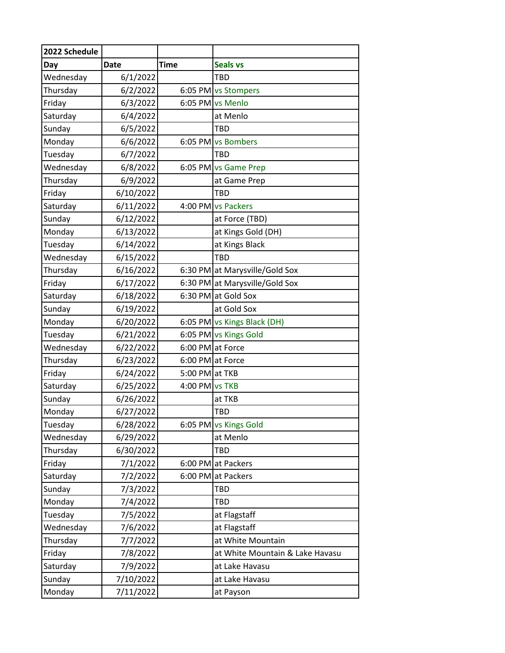| 2022 Schedule |             |                  |                                 |
|---------------|-------------|------------------|---------------------------------|
| Day           | <b>Date</b> | <b>Time</b>      | <b>Seals vs</b>                 |
| Wednesday     | 6/1/2022    |                  | <b>TBD</b>                      |
| Thursday      | 6/2/2022    |                  | 6:05 PM vs Stompers             |
| Friday        | 6/3/2022    |                  | 6:05 PM vs Menlo                |
| Saturday      | 6/4/2022    |                  | at Menlo                        |
| Sunday        | 6/5/2022    |                  | <b>TBD</b>                      |
| Monday        | 6/6/2022    |                  | 6:05 PM vs Bombers              |
| Tuesday       | 6/7/2022    |                  | <b>TBD</b>                      |
| Wednesday     | 6/8/2022    |                  | 6:05 PM vs Game Prep            |
| Thursday      | 6/9/2022    |                  | at Game Prep                    |
| Friday        | 6/10/2022   |                  | <b>TBD</b>                      |
| Saturday      | 6/11/2022   |                  | 4:00 PM vs Packers              |
| Sunday        | 6/12/2022   |                  | at Force (TBD)                  |
| Monday        | 6/13/2022   |                  | at Kings Gold (DH)              |
| Tuesday       | 6/14/2022   |                  | at Kings Black                  |
| Wednesday     | 6/15/2022   |                  | TBD                             |
| Thursday      | 6/16/2022   |                  | 6:30 PM at Marysville/Gold Sox  |
| Friday        | 6/17/2022   |                  | 6:30 PM at Marysville/Gold Sox  |
| Saturday      | 6/18/2022   |                  | 6:30 PM at Gold Sox             |
| Sunday        | 6/19/2022   |                  | at Gold Sox                     |
| Monday        | 6/20/2022   |                  | 6:05 PM vs Kings Black (DH)     |
| Tuesday       | 6/21/2022   |                  | 6:05 PM vs Kings Gold           |
| Wednesday     | 6/22/2022   | 6:00 PM at Force |                                 |
| Thursday      | 6/23/2022   | 6:00 PM at Force |                                 |
| Friday        | 6/24/2022   | 5:00 PM at TKB   |                                 |
| Saturday      | 6/25/2022   | 4:00 PM vs TKB   |                                 |
| Sunday        | 6/26/2022   |                  | at TKB                          |
| Monday        | 6/27/2022   |                  | <b>TBD</b>                      |
| Tuesday       | 6/28/2022   |                  | 6:05 PM vs Kings Gold           |
| Wednesday     | 6/29/2022   |                  | at Menlo                        |
| Thursday      | 6/30/2022   |                  | <b>TBD</b>                      |
| Friday        | 7/1/2022    |                  | 6:00 PM at Packers              |
| Saturday      | 7/2/2022    |                  | 6:00 PM at Packers              |
| Sunday        | 7/3/2022    |                  | <b>TBD</b>                      |
| Monday        | 7/4/2022    |                  | TBD                             |
| Tuesday       | 7/5/2022    |                  | at Flagstaff                    |
| Wednesday     | 7/6/2022    |                  | at Flagstaff                    |
| Thursday      | 7/7/2022    |                  | at White Mountain               |
| Friday        | 7/8/2022    |                  | at White Mountain & Lake Havasu |
| Saturday      | 7/9/2022    |                  | at Lake Havasu                  |
| Sunday        | 7/10/2022   |                  | at Lake Havasu                  |
| Monday        | 7/11/2022   |                  | at Payson                       |